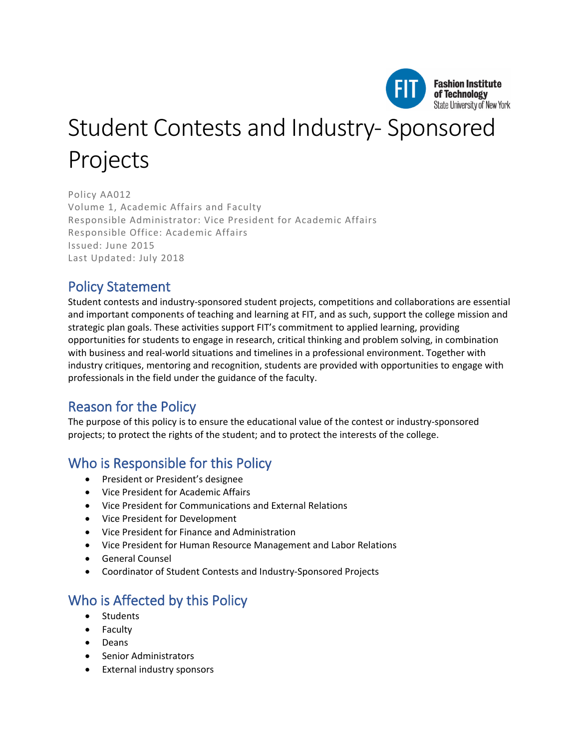

# Student Contests and Industry- Sponsored Projects

Policy AA012 Volume 1, Academic Affairs and Faculty Responsible Administrator: Vice President for Academic Affairs Responsible Office: Academic Affairs Issued: June 2015 Last Updated: July 2018

# Policy Statement

Student contests and industry-sponsored student projects, competitions and collaborations are essential and important components of teaching and learning at FIT, and as such, support the college mission and strategic plan goals. These activities support FIT's commitment to applied learning, providing opportunities for students to engage in research, critical thinking and problem solving, in combination with business and real-world situations and timelines in a professional environment. Together with industry critiques, mentoring and recognition, students are provided with opportunities to engage with professionals in the field under the guidance of the faculty.

# Reason for the Policy

The purpose of this policy is to ensure the educational value of the contest or industry-sponsored projects; to protect the rights of the student; and to protect the interests of the college.

# Who is Responsible for this Policy

- President or President's designee
- Vice President for Academic Affairs
- Vice President for Communications and External Relations
- Vice President for Development
- Vice President for Finance and Administration
- Vice President for Human Resource Management and Labor Relations
- General Counsel
- Coordinator of Student Contests and Industry-Sponsored Projects

# Who is Affected by this Policy

- Students
- Faculty
- Deans
- Senior Administrators
- External industry sponsors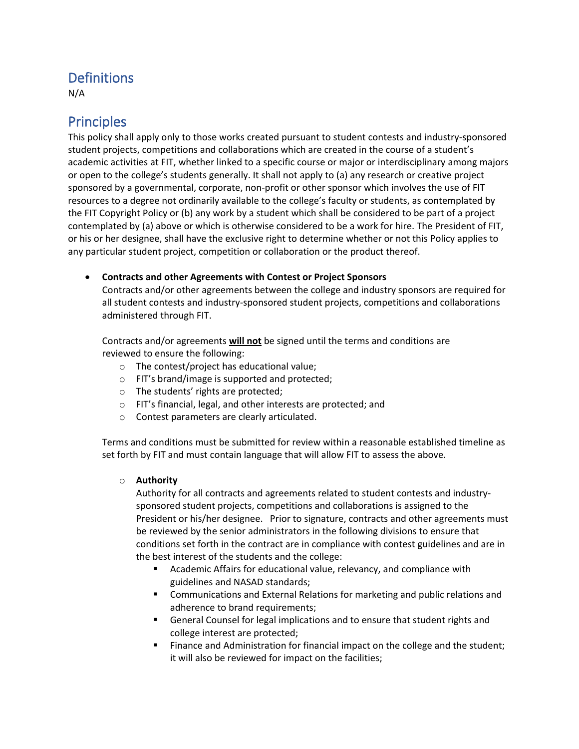# **Definitions**

N/A

## Principles

This policy shall apply only to those works created pursuant to student contests and industry-sponsored student projects, competitions and collaborations which are created in the course of a student's academic activities at FIT, whether linked to a specific course or major or interdisciplinary among majors or open to the college's students generally. It shall not apply to (a) any research or creative project sponsored by a governmental, corporate, non-profit or other sponsor which involves the use of FIT resources to a degree not ordinarily available to the college's faculty or students, as contemplated by the FIT Copyright Policy or (b) any work by a student which shall be considered to be part of a project contemplated by (a) above or which is otherwise considered to be a work for hire. The President of FIT, or his or her designee, shall have the exclusive right to determine whether or not this Policy applies to any particular student project, competition or collaboration or the product thereof.

#### • **Contracts and other Agreements with Contest or Project Sponsors**

Contracts and/or other agreements between the college and industry sponsors are required for all student contests and industry-sponsored student projects, competitions and collaborations administered through FIT.

Contracts and/or agreements **will not** be signed until the terms and conditions are reviewed to ensure the following:

- o The contest/project has educational value;
- o FIT's brand/image is supported and protected;
- o The students' rights are protected;
- o FIT's financial, legal, and other interests are protected; and
- o Contest parameters are clearly articulated.

Terms and conditions must be submitted for review within a reasonable established timeline as set forth by FIT and must contain language that will allow FIT to assess the above.

#### o **Authority**

Authority for all contracts and agreements related to student contests and industrysponsored student projects, competitions and collaborations is assigned to the President or his/her designee. Prior to signature, contracts and other agreements must be reviewed by the senior administrators in the following divisions to ensure that conditions set forth in the contract are in compliance with contest guidelines and are in the best interest of the students and the college:

- Academic Affairs for educational value, relevancy, and compliance with guidelines and NASAD standards;
- Communications and External Relations for marketing and public relations and adherence to brand requirements;
- General Counsel for legal implications and to ensure that student rights and college interest are protected;
- Finance and Administration for financial impact on the college and the student; it will also be reviewed for impact on the facilities;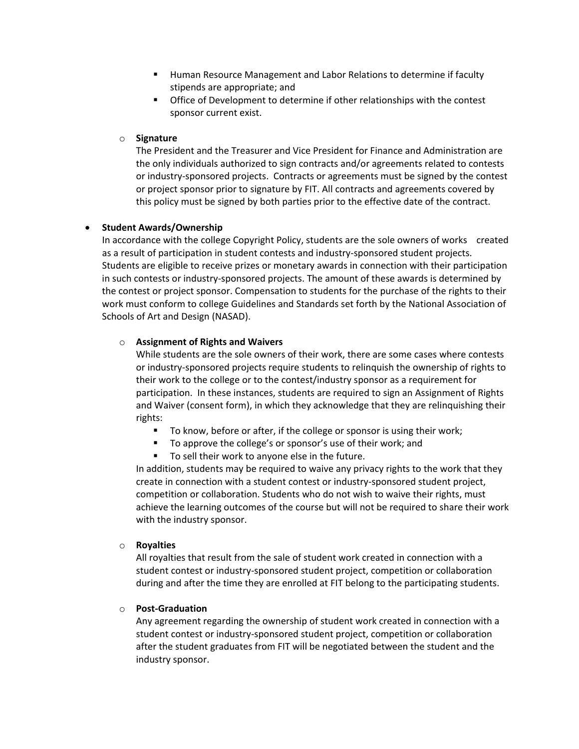- Human Resource Management and Labor Relations to determine if faculty stipends are appropriate; and
- Office of Development to determine if other relationships with the contest sponsor current exist.

#### o **Signature**

The President and the Treasurer and Vice President for Finance and Administration are the only individuals authorized to sign contracts and/or agreements related to contests or industry-sponsored projects. Contracts or agreements must be signed by the contest or project sponsor prior to signature by FIT. All contracts and agreements covered by this policy must be signed by both parties prior to the effective date of the contract.

#### • **Student Awards/Ownership**

In accordance with the college Copyright Policy, students are the sole owners of works created as a result of participation in student contests and industry-sponsored student projects. Students are eligible to receive prizes or monetary awards in connection with their participation in such contests or industry-sponsored projects. The amount of these awards is determined by the contest or project sponsor. Compensation to students for the purchase of the rights to their work must conform to college Guidelines and Standards set forth by the National Association of Schools of Art and Design (NASAD).

#### o **Assignment of Rights and Waivers**

While students are the sole owners of their work, there are some cases where contests or industry-sponsored projects require students to relinquish the ownership of rights to their work to the college or to the contest/industry sponsor as a requirement for participation. In these instances, students are required to sign an Assignment of Rights and Waiver (consent form), in which they acknowledge that they are relinquishing their rights:

- To know, before or after, if the college or sponsor is using their work;
- To approve the college's or sponsor's use of their work; and
- To sell their work to anyone else in the future.

In addition, students may be required to waive any privacy rights to the work that they create in connection with a student contest or industry-sponsored student project, competition or collaboration. Students who do not wish to waive their rights, must achieve the learning outcomes of the course but will not be required to share their work with the industry sponsor.

#### o **Royalties**

All royalties that result from the sale of student work created in connection with a student contest or industry-sponsored student project, competition or collaboration during and after the time they are enrolled at FIT belong to the participating students.

#### o **Post-Graduation**

Any agreement regarding the ownership of student work created in connection with a student contest or industry-sponsored student project, competition or collaboration after the student graduates from FIT will be negotiated between the student and the industry sponsor.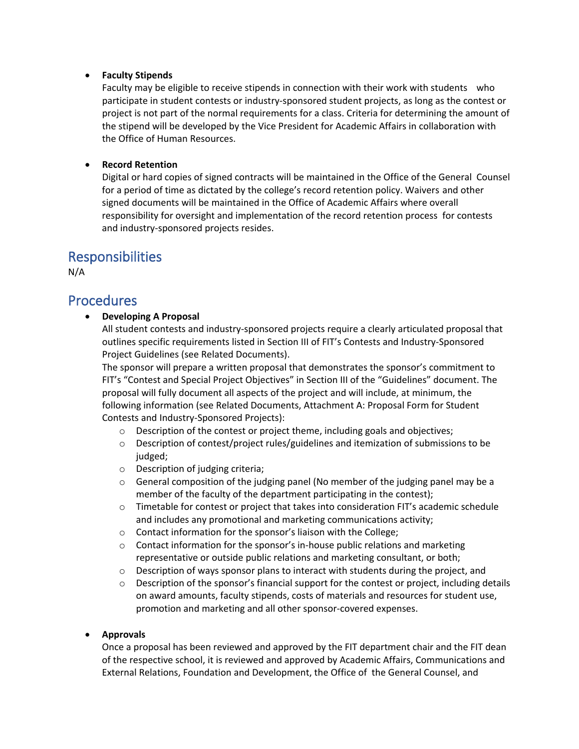#### • **Faculty Stipends**

Faculty may be eligible to receive stipends in connection with their work with students who participate in student contests or industry-sponsored student projects, as long as the contest or project is not part of the normal requirements for a class. Criteria for determining the amount of the stipend will be developed by the Vice President for Academic Affairs in collaboration with the Office of Human Resources.

#### • **Record Retention**

Digital or hard copies of signed contracts will be maintained in the Office of the General Counsel for a period of time as dictated by the college's record retention policy. Waivers and other signed documents will be maintained in the Office of Academic Affairs where overall responsibility for oversight and implementation of the record retention process for contests and industry-sponsored projects resides.

### Responsibilities

N/A

### **Procedures**

#### • **Developing A Proposal**

All student contests and industry-sponsored projects require a clearly articulated proposal that outlines specific requirements listed in Section III of FIT's Contests and Industry-Sponsored Project Guidelines (see Related Documents).

The sponsor will prepare a written proposal that demonstrates the sponsor's commitment to FIT's "Contest and Special Project Objectives" in Section III of the "Guidelines" document. The proposal will fully document all aspects of the project and will include, at minimum, the following information (see Related Documents, Attachment A: Proposal Form for Student Contests and Industry-Sponsored Projects):

- o Description of the contest or project theme, including goals and objectives;
- o Description of contest/project rules/guidelines and itemization of submissions to be judged;
- o Description of judging criteria;
- $\circ$  General composition of the judging panel (No member of the judging panel may be a member of the faculty of the department participating in the contest);
- o Timetable for contest or project that takes into consideration FIT's academic schedule and includes any promotional and marketing communications activity;
- o Contact information for the sponsor's liaison with the College;
- o Contact information for the sponsor's in-house public relations and marketing representative or outside public relations and marketing consultant, or both;
- $\circ$  Description of ways sponsor plans to interact with students during the project, and
- $\circ$  Description of the sponsor's financial support for the contest or project, including details on award amounts, faculty stipends, costs of materials and resources for student use, promotion and marketing and all other sponsor-covered expenses.

#### • **Approvals**

Once a proposal has been reviewed and approved by the FIT department chair and the FIT dean of the respective school, it is reviewed and approved by Academic Affairs, Communications and External Relations, Foundation and Development, the Office of the General Counsel, and